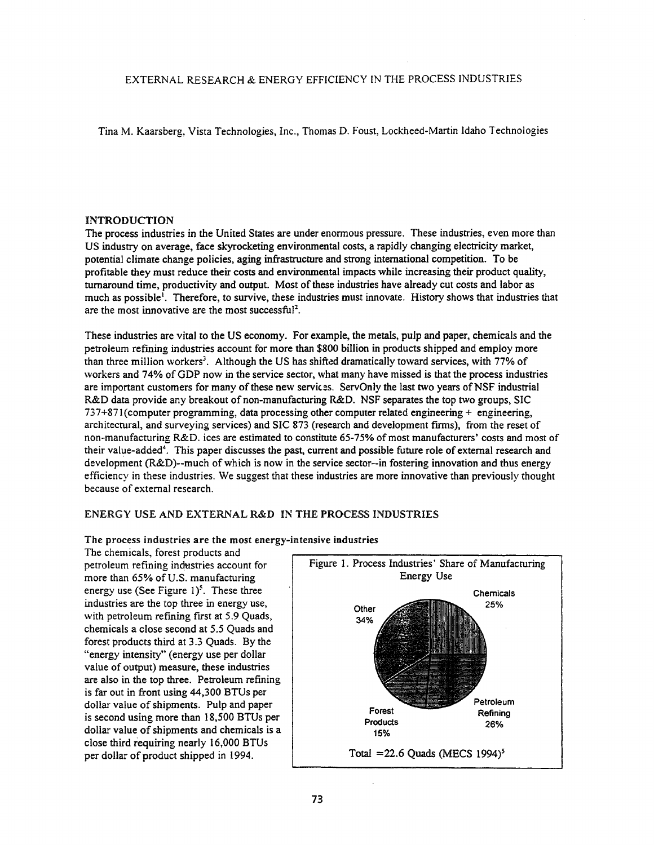EXTERNAL RESEARCH & ENERGY EFFICIENCY IN THE PROCESS INDUSTRIES

Tina M. Kaarsberg, Vista Technologies, Inc., Thomas D. Foust, Lockheed-Martin Idaho Technologies

### INTRODUCTION

The process industries in the United States are under enonnous pressure. These industries, even more than US industry on average, face skyrocketing environmental costs, a rapidly changing electricity market, potential climate change policies, aging infrastructure and strong international competition. To be profitable they must reduce their costs and environmental impacts while increasing their product quality, turnaround time, productivity and output. Most of these industries have already cut costs and labor as much as possible<sup>1</sup>. Therefore, to survive, these industries must innovate. History shows that industries that are the most innovative are the most successful<sup>2</sup>.

These industries are vital to the US economy. For example, the metals, pulp and paper, chemicals and the petroleum refining industries account for more than \$800 billion in products shipped and employ more than three million workers<sup>3</sup>. Although the US has shifted dramatically toward services, with 77% of workers and 74% of GDP now in the service sector, what many have missed is that the process industries are important customers for many of these new services. ServOnly the last two years of NSF industrial R&D data provide any breakout of non-manufacturing R&D. NSF separates the top two groups, SIC 737+871 (computer programming, data processing other computer related engineering + engineering, architectural, and surveying services) and SIC 873 (research and development finns), from the reset of non-manufacturing R&D. ices are estimated to constitute 65-75% of most manufacturers' costs and most of their value-added<sup>4</sup>. This paper discusses the past, current and possible future role of external research and development (R&D)--much of which is now in the service sector--in fostering innovation and thus energy efficiency in these industries. We suggest that these industries are more innovative than previously thought because of external research.

# ENERGY USE AND EXTERNAL R&D IN THE PROCESS INDUSTRIES

## The process industries are the most energy-intensive industries

The chemicals, forest products and petroleum refining indtistries account for more than 65% of U.S. manufacturing energy use (See Figure  $1$ )<sup>5</sup>. These three industries are the top three in energy use, with petroleum refining first at 5.9 Quads, chemicals a close second at 5.5 Quads and forest products third at 3.3 Quads. By the "energy intensity" (energy use per dollar value of output) measure, these industries are also in the top three. Petroleum refining is far out in front using 44,300 BTUs per dollar value of shipments. Pulp and paper is second using more than 18,500 BTUs per dollar value of shipments and chemicals is a close third requiring nearly 16,000 BTUs per dollar of product shipped in 1994.

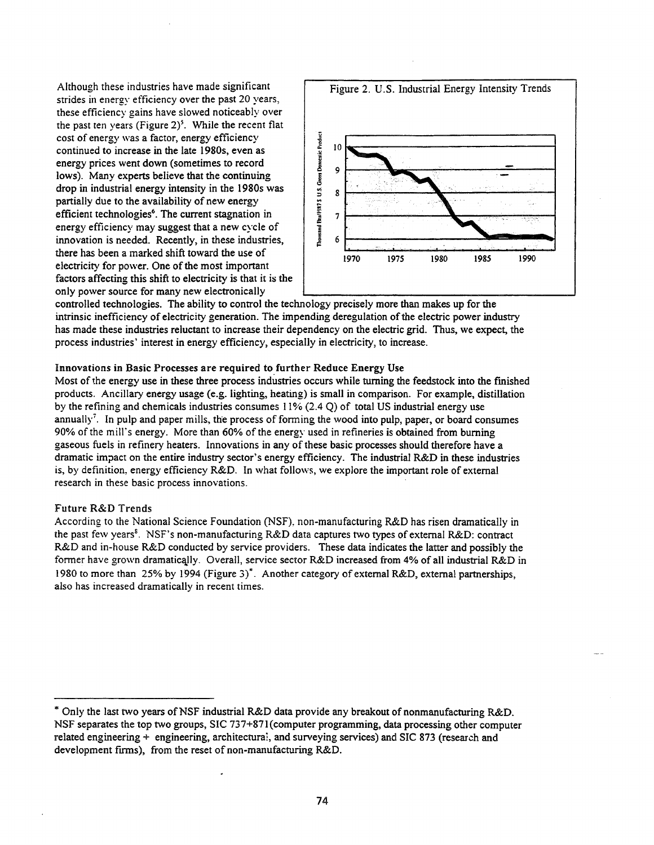strides in energy efficiency over the past 20 years, these efficiency gains have slowed noticeably over the past ten years (Figure  $2$ )<sup>5</sup>. While the recent flat cost of energy was a factor, energy efficiency continued to increase in the late 1980s, even as energy prices went down (sometimes to record lows). Many experts believe that the continuing drop in industrial energy intensity in the 1980s was partially due to the availability of new energy efficient technologies<sup>6</sup>. The current stagnation in energy efficiency may suggest that a new cycle of innovation is needed. Recently, in these industries, there has been a marked shift toward the use of electricity for power. One of the most important factors affecting this shift to electricity is that it is the only power source for many new electronically



controlled technologies. The ability to control the technology precisely more than makes up for the intrinsic inefficiency of electricity generation. The impending deregulation of the electric power industry has made these industries reluctant to increase their dependency on the electric grid. Thus, we expect, the process industries' interest in energy efficiency, especially in electricity, to increase.

## Innovations in Basic Processes are required to further Reduce Energy Use

Most of the energy use in these three process industries occurs while turning the feedstock into the finished products. Ancillary energy usage (e.g. lighting, heating) is small in comparison. For example, distillation by the refining and chemicals industries consumes  $11\%$  (2.4 Q) of total US industrial energy use annually<sup>7</sup>. In pulp and paper mills, the process of forming the wood into pulp, paper, or board consumes 90% of the mill's energy. More than 60% of the energy used in refineries is obtained from burning gaseous fuels in refinery heaters. Innovations in any of these basic processes should therefore have a dramatic impact on the entire industry sector's energy efficiency. The industrial R&D in these industries is, by definition, energy efficiency R&D. In what follows, we explore the important role of external research in these basic process innovations.

## Future R&D Trends

According to the National Science Foundation (NSF), non-manufacturing R&D has risen dramatically in the past few years<sup>s</sup>. NSF's non-manufacturing R&D data captures two types of external R&D: contract R&D and in-house R&D conducted by service providers. These data indicates the latter and possibly the former have grown dramatically. Overall, service sector R&D increased from 4% of all industrial R&D in 1980 to more than 25% by 1994 (Figure 3)\*. Another category of external R&D, external partnerships, also has increased dramatically in recent times.

<sup>..</sup> Only the last two years ofNSF industrial R&D data provide any breakout of nonmanufacturing R&D. NSF separates the top two groups, SIC 737+871 (computer programming, data processing other computer related engineering + engineering, architectural, and surveying services) and SIC 873 (research and development firms), from the reset of non-manufacturing R&D.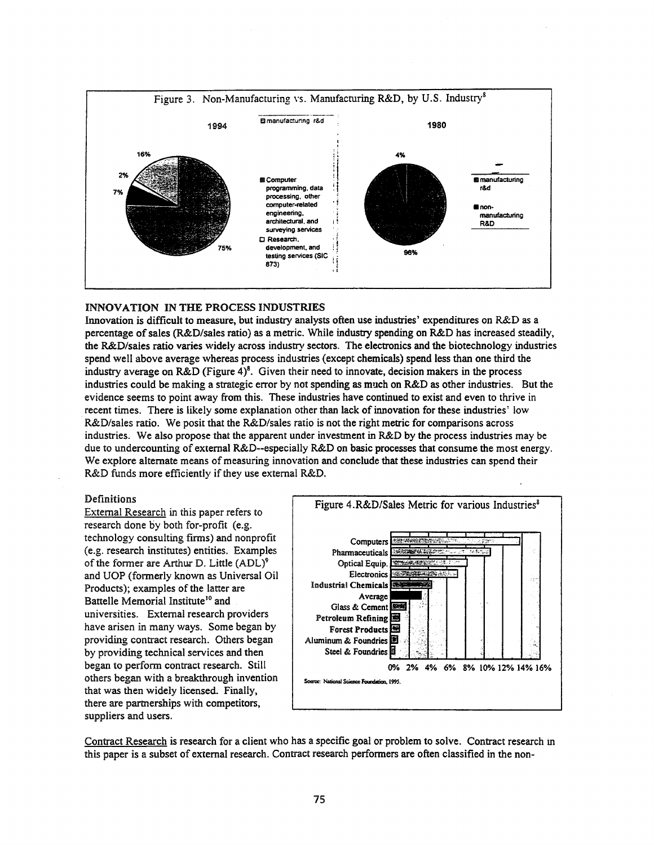

## INNOVATION IN THE PROCESS INDUSTRIES

Innovation is difficult to measure, but industry analysts often use industries' expenditures on R&D as a percentage of sales (R&D/sales ratio) as a metric. While industry spending on R&D has increased steadily, the R&D/sales ratio varies widely across industry sectors. The electronics and the biotechnology industries spend well above average whereas process industries (except chemicals) spend less than one third the industry average on R&D (Figure 4)<sup>8</sup>. Given their need to innovate, decision makers in the process industries could be making a strategic error by not spending as much on R&D as other industries. But the evidence seems to point away from this. These industries have continued to exist and even to thrive in recent times. There is likely some explanation other than lack ofinnovation for these industries' low R&D/sales ratio. We posit that the R&D/sales ratio is not the right metric for comparisons across industries. We also propose that the apparent under investment in R&D by the process industries may be due to undercounting of external R&D--especially R&D on basic processes that consume the most energy. We explore alternate means of measuring innovation and conclude that these industries can spend their R&D funds more efficiently if they use external R&D.

### Definitions

External Research in this paper refers to research done by both for-profit (e.g. technology consulting firms) and nonprofit (e.g. research institutes) entities. Examples of the former are Arthur D. Little  $(ADL)^9$ and UOP (formerly known as Universal Oil Products); examples of the latter are Battelle Memorial Institute<sup>10</sup> and universities. External research providers have arisen in many ways. Some began by providing contract research. Others began by providing technical services and then began to perform contract research. Still others began with a breakthrough invention that was then widely licensed. Finally, there are partnerships with competitors, suppliers and users.



Contract Research is research for a client who has a specific goal or problem to solve. Contract research m this paper is a subset of external research. Contract research performers are often classified in the non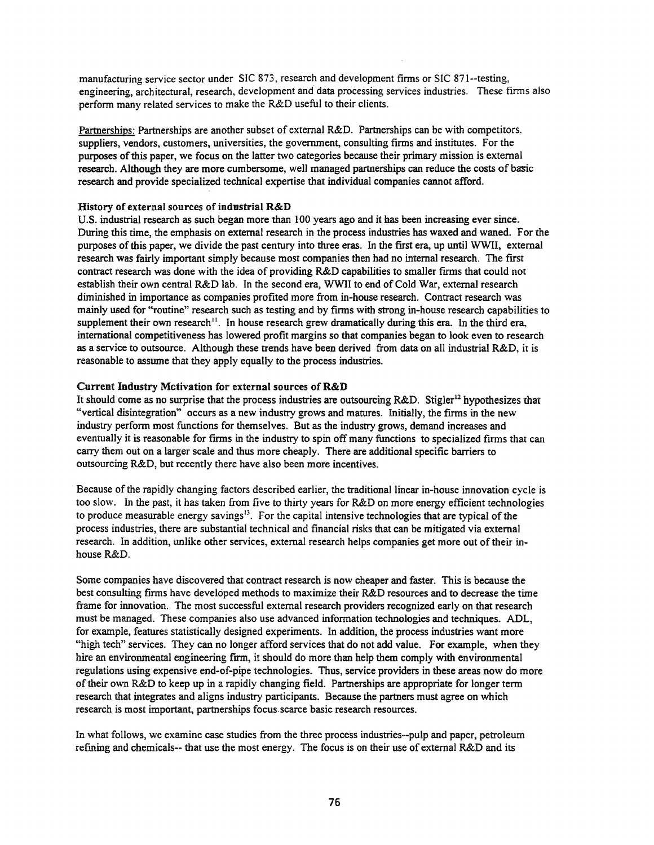manufacturing service sector under SIC 873, research and development firms or SIC 871--testing. engineering, architectural, research, development and data processing services industries. These firms also perform many related services to make the R&D useful to their clients.

Partnerships: Partnerships are another subset of external R&D. Partnerships can be with competitors, suppliers, vendors, customers, universities, the government, consulting firms and institutes. For the purposes ofthis paper, we focus on the latter two categories because their primary mission is external research. Although they are more cumbersome, well managed partnerships can reduce the costs of basic research and provide specialized technical expertise that individual companies cannot afford.

# History of external sources of industrial R&D

U.S. industrial research as such began more than 100 years ago and it has been increasing ever since. During this time, the emphasis on external research in the process industries has waxed and waned. For the purposes ofthis paper, we divide the past century into three eras. In the fIrst era, up until WWII, external research was fairly important simply because most companies then had no internal research. The first contract research was done with the idea of providing R&D capabilities to smaller firms that could not establish their own central R&D lab. In the second era, WWII to end of Cold War, external research diminished in importance as companies profited more from in-house research. Contract research was mainly used for "routine" research such as testing and by firms with strong in-house research capabilities to supplement their own research<sup>11</sup>. In house research grew dramatically during this era. In the third era, international competitiveness has lowered profit margins so that companies began to look even to research as a service to outsource. Although these trends have been derived from data on all industrial R&D, it is reasonable to assume that they apply equally to the process industries.

# Current Industry Mctivation for external sources ofR&D

It should come as no surprise that the process industries are outsourcing  $R&D$ . Stigler<sup>12</sup> hypothesizes that "vertical disintegration" occurs as a new industry grows and matures. Initially, the firms in the new industry perform most functions for themselves. But as the industry grows, demand increases and eventually it is reasonable for firms in the industry to spin off many functions to specialized firms that can carry them out on a larger scale and thus more cheaply. There are additional specific barriers to outsourcing R&D, but recently there have also been more incentives.

Because of the rapidly changing factors described earlier, the traditional linear in-house innovation cycle is too slow. In the past, it has taken from five to thirty years for R&D on more energy efficient technologies to produce measurable energy savings<sup>13</sup>. For the capital intensive technologies that are typical of the process industries, there are substantial technical and financial risks that can be mitigated via external research. In addition, unlike other services, external research helps companies get more out oftheir inhouse R&D.

Some companies have discovered that contract research is now cheaper and faster. This is because the best consulting firms have developed methods to maximize their R&D resources and to decrease the time frame for innovation. The most successful external research providers recognized early on that research must be managed. These companies also use advanced infonnation technologies and techniques. ADL, for example, features statistically designed experiments. In addition, the process industries want more "high tech" services. They can no longer afford services that do not add value. For example, when they hire an environmental engineering firm, it should do more than help them comply with environmental regulations using expensive end-of-pipe technologies. Thus, service providers in these areas now do more of their own R&D to keep up in a rapidly changing field. Partnerships are appropriate for longer term research that integrates and aligns industry participants. Because the partners must agree on which research is most important, partnerships focus.scarce basic research resources.

In what follows, we examine case studies from the three process industries--pulp and paper, petroleum refining and chemicals-- that use the most energy. The focus is on their use of external R&D and its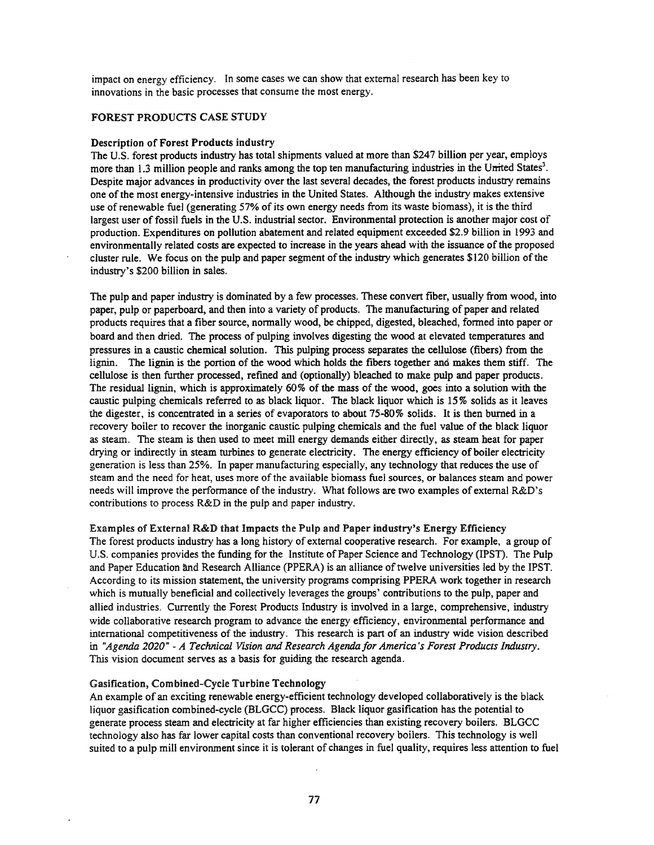impact on energy efficiency. In some cases we can show that external research has been key to innovations in the basic processes that consume the most energy.

# FOREST PRODUCTS CASE STUDY

#### Description of Forest Products industry

The U.S. forest products industry has total shipments valued at more than \$247 billion per year, employs more than 1.3 million people and ranks among the top ten manufacturing industries in the United States<sup>3</sup>. Despite major advances in productivity over the last several decades, the forest products industry remains one ofthe most energy-intensive industries in the United States. Although the industry makes extensive use of renewable fuel (generating 57% of its own energy needs from its waste biomass), it is the third largest user of fossil fuels in the U.S. industrial sector. Environmental protection is another major cost of production. Expenditures on pollution abatement and related equipment exceeded \$2.9 billion in 1993 and environmentally related costs are expected to increase in the years ahead with the issuance ofthe proposed cluster rule. We focus on the pulp and paper segment of the industry which generates \$120 billion of the industry's \$200 billion in sales.

The pulp and paper industry is dominated by a few processes. These convert fiber, usually from wood, into paper, pulp or paperboard, and then into a variety of products. The manufacturing of paper and related products requires that a fiber source, nonnally wood, be chipped, digested, bleached, formed into paper or board and then dried. The process of pulping involves digesting the wood at elevated temperatures and pressures in a caustic chemical solution. This pulping process separates the cellulose (fibers) from the lignin. The lignin is the portion of the wood which holds the fibers together and makes them stiff. The cellulose is then further processed, refmed and (optionally) bleached to make pulp and paper products. The residual lignin, which is approximately 60% of the mass of the wood, goes into a solution with the caustic pulping chemicals referred to as black liquor. The black liquor which is 15% solids as it leaves the digester, is concentrated in a series of evaporators to about 75-80% solids. It is then burned in a recovery boiler to recover the inorganic caustic pulping chemicals and the fuel value of the black liquor as steam. The steam is then used to meet mill energy demands either directly, as steam heat for paper drying or indirectly in steam turbines to generate electricity. The energy efficiency of boiler electricity generation is less than 25%. In paper manufacturing especially, any technology that reduces the use of steam and the need for heat, uses more of the available biomass fuel sources, or balances steam and power needs will improve the performance of the industry. What follows are two examples of external R&D's contributions to process R&D in the pulp and paper industry.

Examples of External R&D that Impacts the Pulp and Paper industry's Energy Efficiency The forest products industry has a long history of external cooperative research. For example, a group of U.S. companies provides the funding for the Institute of Paper Science and Technology (IPST). The Pulp and Paper Education and Research Alliance (PPERA) is an alliance oftwelve universities led by the IPST. According to its mission statement, the university programs comprising PPERA work together in research which is mutually beneficial and collectively leverages the groups' contributions to the pulp, paper and allied industries. Currently the Forest Products Industry is involved in a large, comprehensive, industry wide collaborative research program to advance the energy efficiency, environmental performance and international competitiveness of the industry. This research is part of an industry wide vision described in *"Agenda 2020"* - *A Technical Vision and Research Agenda for America's Forest Products Industry.* This vision document serves as a basis for guiding the research agenda.

### Gasification, Combined-Cycle Turbine Technology

An example of an exciting renewable energy-efficient technology developed collaboratively is the black liquor gasification combined-cycle (BLGCC) process. Black liquor gasification has the potential to generate process steam and electricity at far higher efficiencies than existing recovery boilers. BLGCC technology also has far lower capital costs than conventional recovery boilers. This technology is well suited to a pulp mill environment since it is tolerant of changes in fuel quality, requires less attention to fuel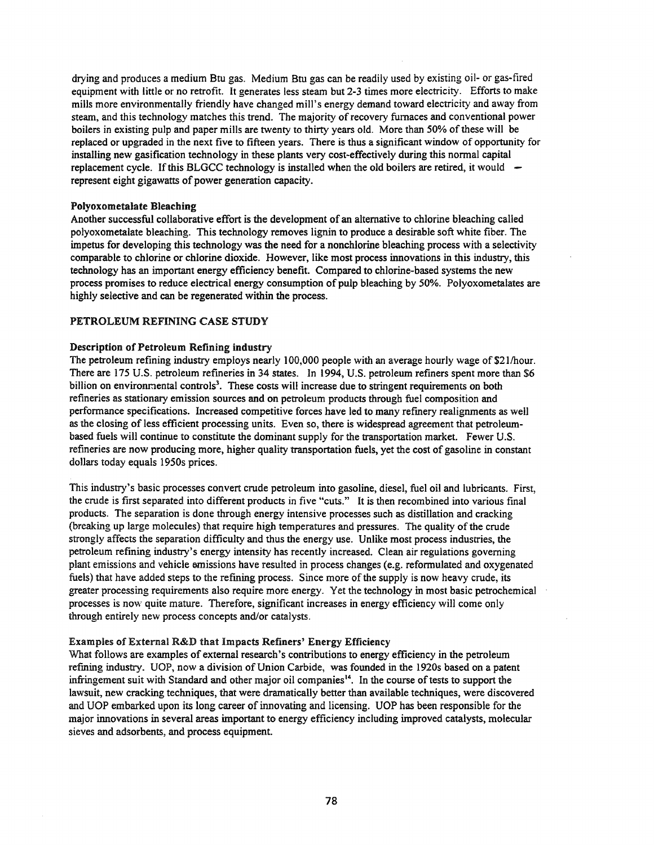drying and produces a medium Btu gas. Medium Btu gas can be readily used by existing oil- or gas-fired equipment with little or no retrofit. It generates less steam but 2-3 times more electricity. Efforts to make mills more environmentally friendly have changed mill's energy demand toward electricity and away from steam, and this technology matches this trend. The majority of recovery furnaces and conventional power boilers in existing pulp and paper mills are twenty to thirty years old. More than 50% ofthese will be replaced or upgraded in the next five to fifteen years. There is thus a significant window of opportunity for installing new gasification technology in these plants very cost-effectively during this normal capital replacement cycle. If this BLGCC technology is installed when the old boilers are retired, it would  $$ represent eight gigawatts of power generation capacity.

## Polyoxometalate Bleaching

Another successful collaborative effort is the development of an alternative to chlorine bleaching called polyoxometalate bleaching. This technology removes lignin to produce a desirable soft white fiber. The impetus for developing this technology was the need for a nonchlorine bleaching process with a selectivity comparable to chlorine or chlorine dioxide. However, like most process innovations in this industry, this technology has an important energy efficiency benefit. Compared to chlorine-based systems the new process promises to reduce electrical energy consumption of pulp bleaching by 50%. Polyoxometalates are highly selective and can be regenerated within the process.

## PETROLEUM REFINING CASE STUDY

## Description of Petroleum Refining industry

The petroleum refining industry employs nearly 100,000 people with an average hourly wage of \$21/hour. There are 175 U.S. petroleum refmeries in 34 states. In 1994, U.S. petroleum refiners spent more than \$6 billion on environmental controls<sup>3</sup>. These costs will increase due to stringent requirements on both refineries as stationary emission sources and on petroleum products through fuel composition and performance specifications. Increased competitive forces have led to many refmery realignments as well as the closing ofless efficient processing units. Even so, there is widespread agreement that petroleumbased fuels will continue to constitute the dominant supply for the transportation market. Fewer U.S. refmeries are now producing more, higher quality transportation fuels, yet the cost of gasoline in constant dollars today equals 1950s prices.

This industry's basic processes convert crude petroleum into gasoline, diesel, fuel oil and lubricants. First, the crude is first separated into different products in five "cuts." It is then recombined into various final products. The separation is done through energy intensive processes such as distillation and cracking (breaking up large molecules) that require high temperatures and pressures. The quality of the crude strongly affects the separation difficulty and thus the energy use. Unlike most process industries, the petroleum refining industry's energy intensity has recently increased. Clean air regulations governing plant emissions and vehicle emissions have resulted in process changes (e.g. reformulated and oxygenated fuels) that have added steps to the refining process. Since more of the supply is now heavy crude, its greater processing requirements also require more energy. Yet the technology in most basic petrochemical processes is now quite mature. Therefore, significant increases in energy efficiency will come only through entirely new process concepts and/or catalysts.

## Examples of External R&D that Impacts Refiners' Energy Efficiency

What follows are examples of external research's contributions to energy efficiency in the petroleum refining industry. UOP, now a division of Union Carbide, was founded in the 1920s based on a patent infringement suit with Standard and other major oil companies<sup>14</sup>. In the course of tests to support the lawsuit, new cracking techniques, that were dramatically better than available techniques, were discovered and UOP embarked upon its long career of innovating and licensing. UOP has been responsible for the major innovations in several areas important to energy efficiency including improved catalysts, molecular sieves and adsorbents, and process equipment.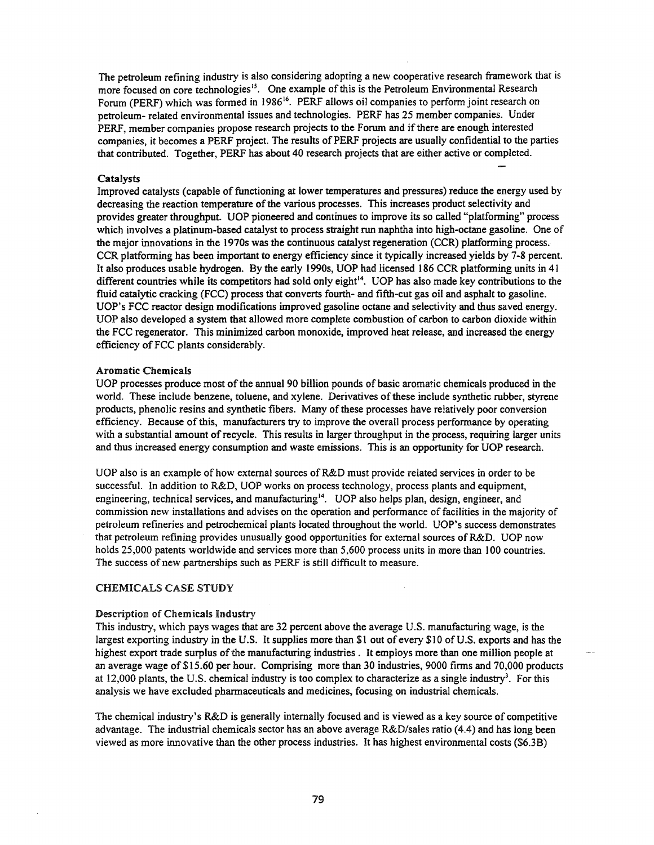The petroleum refining industry is also considering adopting a new cooperative research framework that is more focused on core technologies<sup>15</sup>. One example of this is the Petroleum Environmental Research Forum (PERF) which was formed in 1986<sup>16</sup>. PERF allows oil companies to perform joint research on petroleum- related environmental issues and technologies. PERF has 25 member companies. Under PERF, member companies propose research projects to the Forum and if there are enough interested companies, it becomes a PERF project. The results of PERF projects are usually confidential to the parties that contributed. Together, PERF has about 40 research projects that are either active or completed.

### Catalysts

Improved catalysts (capable of functioning at lower temperatures and pressures) reduce the energy used by decreasing the reaction temperature of the various processes. This increases product selectivity and provides greater throughput. UOP pioneered and continues to improve its so called "platforming" process which involves a platinum-based catalyst to process straight run naphtha into high-octane gasoline. One of the major innovations in the 1970s was the continuous catalyst regeneration (C.CR) platforming process.· CCR platforming has been important to energy efficiency since it typically increased yields by 7-8 percent. It also produces usable hydrogen. By the early 1990s, UOP had licensed 186 CCR platforming units in 41 different countries while its competitors had sold only eight<sup>14</sup>. UOP has also made key contributions to the fluid catalytic cracking (FCC) process that converts fourth- and fifth-cut gas oil and asphalt to gasoline. UOP's FCC reactor design modifications improved gasoline octane and selectivity and thus saved energy. UOP also developed a system that allowed more complete combustion of carbon to carbon dioxide within the FCC regenerator. This minimized carbon monoxide, improved heat release, and increased the energy efficiency of FCC plants considerably.

## Aromatic Chemicals

UOP processes produce most of the annual 90 billion pounds of basic aromatic chemicals produced in the world. These include benzene, toluene, and xylene. Derivatives of these include synthetic rubber, styrene products, phenolic resins and synthetic fibers. Many of these processes have relatively poor conversion efficiency. Because of this, manufacturers try to improve the overall process performance by operating with a substantial amount of recycle. This results in larger throughput in the process, requiring larger units and thus increased energy consumption and waste emissions. This is an opportunity for UOP research.

UOP also is an example of how external sources of R&D must provide related services in order to be successful. In addition to R&D, UOP works on process technology, process plants and equipment, engineering, technical services, and manufacturing<sup>14</sup>. UOP also helps plan, design, engineer, and commission new installations and advises on the operation and performance of facilities in the majority of petroleum refineries and petrochemical plants located throughout the world. UOP's success demonstrates that petroleum refining provides unusually good opportunities for external sources of R&D. UOP now holds 25,000 patents worldwide and services more than 5,600 process units in more than 100 countries. The success of new partnerships such as PERF is still difficult to measure.

## CHEMICALS CASE STUDY

#### Description of Chemicals Industry

This industry, which pays wages that are 32 percent above the average U.s. manufacturing wage, is the largest exporting industry in the U.S. It supplies more than \$1 out of every \$10 ofU.S. exports and has the highest export trade surplus of the manufacturing industries. It employs more than one million people at an average wage of\$15.60 per hour. Comprising more than 30 industries, 9000 firms and 70,000 products at 12,000 plants, the U.S. chemical industry is too complex to characterize as a single industry<sup>3</sup>. For this analysis we have excluded pharmaceuticals and medicines, focusing on industrial chemicals.

The chemical industry's R&D is generally internally focused and is viewed as a key source of competitive advantage. The industrial chemicals sector has an above average R&D/sales ratio (4.4) and has long been viewed as more innovative than the other process industries. It has highest environmental costs (\$6.3B)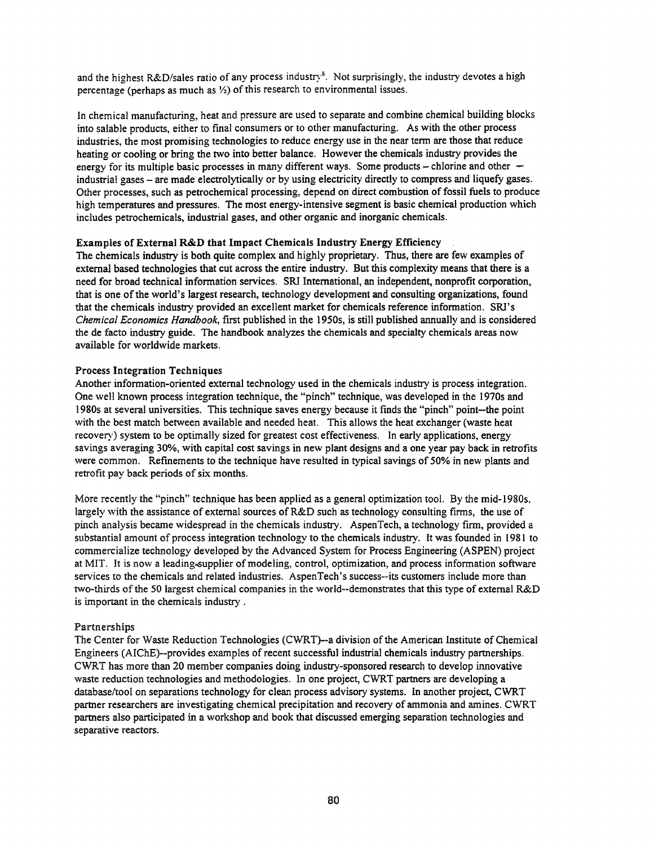and the highest R&D/sales ratio of any process industry<sup>8</sup>. Not surprisingly, the industry devotes a high percentage (perhaps as much as  $\frac{1}{2}$ ) of this research to environmental issues.

In chemical manufacturing, heat and pressure are used to separate and combine chemical building blocks into salable products, either to final consumers or to other manufacturing. As with the other process industries, the most promising technologies to reduce energy use in the near tenn are those that reduce heating or cooling or bring the two into better balance. However the chemicals industry provides the energy for its multiple basic processes in many different ways. Some products - chlorine and other industrial gases - are made electrolytically or by using electricity directly to compress and liquefy gases. Other processes, such as petrochemical processing, depend on direct combustion offossil fuels to produce high temperatures and pressures. The most energy-intensive segment is basic chemical production which includes petrochemicals, industrial gases, and other organic and inorganic chemicals.

### Examples of External R&D that Impact Chemicals Industry Energy Efficiency

The chemicals industry is both quite complex and highly proprietary. Thus, there are few examples of external based technologies that cut across the entire industry. But this complexity means that there is a need for broad technical information services. SRI International, an independent, nonprofit corporation, that is one of the world's largest research, technology development and consulting organizations, found that the chemicals industry provided an excellent market for chemicals reference information. SRI's *Chemical Economics Handbook,* first published in the 1950s, is still published annually and is considered the de facto industry guide. The handbook analyzes the chemicals and specialty chemicals areas now available for worldwide markets.

### Process Integration Techniques

Another information-oriented external technology used in the chemicals industry is process integration. One well known process integration technique, the "pinch" technique, was developed in the 19705 and 1980s at several universities. This technique saves energy because it finds the "pinch" point-the point with the best match between available and needed heat. This allows the heat exchanger (waste heat recovery) system to be optimally sized for greatest cost effectiveness. In early applications, energy savings averaging 30%, with capital cost savings in new plant designs and a one year pay back in retrofits were common. Refinements to the technique have resulted in typical savings of 50% in new plants and retrofit pay back periods of six months.

More recently the "pinch" technique has been applied as a general optimization tool. By the mid-1980s, largely with the assistance of external sources of  $R&D$  such as technology consulting firms, the use of pinch analysis became widespread in the chemicals industry. AspenTech, a technology firm, provided a substantial amount of process integration technology to the chemicals industry. It was founded in 1981 to commercialize technology developed by the Advanced System for Process Engineering (ASPEN) project at MIT. It is now a leading-supplier of modeling, control, optimization, and process information software services to the chemicals and related industries. AspenTech's success--its customers include more than two-thirds ofthe 50 largest chemical companies in the world--demonstrates that this type of external R&D is important in the chemicals industry .

### Partnerships

The Center for Waste Reduction Technologies (CWRT)--a division of the American Institute of Chemical Engineers (AIChE)--provides examples of recent successful industrial chemicals industry partnerships. CWRT has more than 20 member companies doing industry-sponsored research to develop innovative waste reduction technologies and methodologies. In one project, CWRT partners are developing a database/tool on separations technology for clean process advisory systems. In another project, CWRT partner researchers are investigating chemical precipitation and recovery of ammonia and amines. CWRT partners also participated in a workshop and book that discussed emerging separation technologies and separative reactors.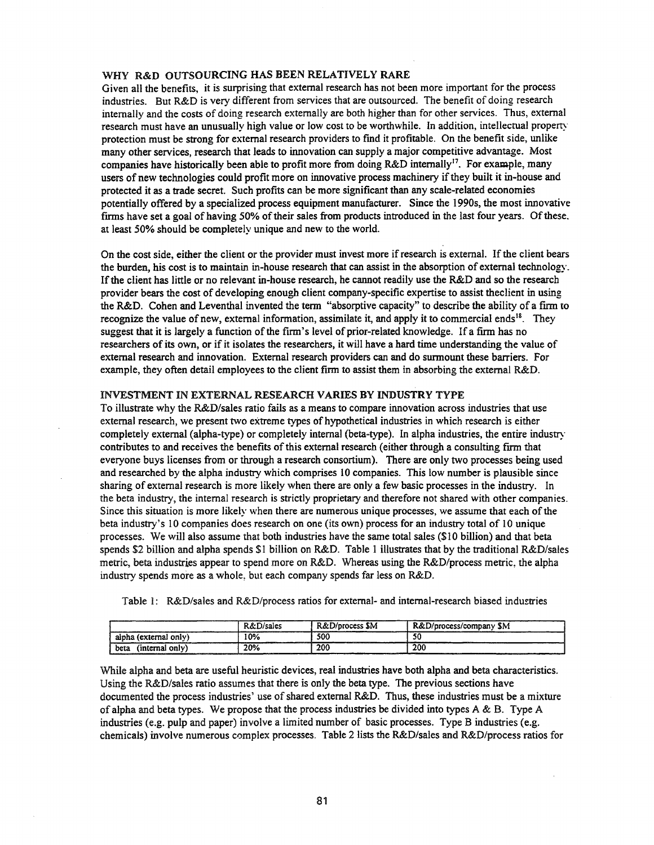### WHY R&D OUTSOURCING HAS BEEN RELATIVELY RARE

Given all the benefits, it is surprising that external research has not been more important for the process industries. But R&D is very different from services that are outsourced. The benefit of doing research internally and the costs of doing research externally are both higher than for other services. Thus, external research must have an unusually high value or low cost to be worthwhile. In addition, intellectual property protection must be strong for external research providers to find it profitable. On the benefit side, unlike many other services, research that leads to innovation can supply a major competitive advantage. Most companies have historically been able to profit more from doing R&D internally<sup>17</sup>. For example, many users of new technologies could profit more on innovative process machinery ifthey built it in-house and protected it as a trade secret. Such profits can be more significant than any scale-related economies potentially offered by a specialized process equipment manufacturer. Since the 1990s, the most innovative firms have set a goal of having 50% of their sales from products introduced in the last four years. Of these, at least 50% should be completely unique and new to the world.

On the cost side, either the client or the provider must invest more if research is external. If the client bears the burden, his cost is to maintain in-house research that can assist in the absorption of external technology. Ifthe client has little or no relevant in-house research, he cannot readily use the R&D and so the research provider bears the cost of developing enough client company-specific expertise to assist theclient in using the R&D. Cohen and Leventhal invented the term "absorptive capacity" to describe the ability of a firm to recognize the value of new, external information, assimilate it, and apply it to commercial ends<sup>18</sup>. They suggest that it is largely a function of the firm's level of prior-related knowledge. If a firm has no researchers of its own, or if it isolates the researchers, it will have a hard time understanding the value of external research and innovation. External research providers can and do sunnount these barriers. For example, they often detail employees to the client firm to assist them in absorbing the external R&D.

### INVESTMENT IN EXTERNAL RESEARCH VARIES BY INDUSTRY TYPE

To illustrate why the R&D/sales ratio fails as a means to compare innovation across industries that use external research, we present two extreme types of hypothetical industries in which research is either completely external (alpha-type) or completely internal (beta-type). In alpha industries, the entire industry contributes to and receives the benefits of this external research (either through a consulting firm that everyone buys licenses from or through a research consortium). There are only two processes being used and researched by the alpha industry which comprises 10 companies. This low number is plausible since sharing of external research is more likely when there are only a few basic processes in the industry. In the beta industry, the internal research is strictly proprietary and therefore not shared with other companies. Since this situation is more likely when there are numerous unique processes, we assume that each of the beta industry's 10 companies does research on one (its own) process for an industry total of 10 unique processes. We will also assume that both industries have the same total sales (\$10 billion) and that beta spends \$2 billion and alpha spends \$1 billion on R&D. Table 1 illustrates that by the traditional R&D/sales metric, beta industries appear to spend more on R&D. Whereas using the R&D/process metric, the alpha industry spends more as a whole, but each company spends far less on R&D.

|                         | <b>R&amp;D/sales</b> | R&D/process \$M | R&D/process/company SM |
|-------------------------|----------------------|-----------------|------------------------|
| alpha (external only)   | 0%                   | 500             | 50                     |
| (internal only)<br>beta | 20%                  | 200             | 200                    |

Table 1:  $R&D/sales$  and  $R&D/process$  ratios for external- and internal-research biased industries

While alpha and beta are useful heuristic devices, real industries have both alpha and beta characteristics. Using the R&D/sales ratio assumes that there is only the beta type. The previous sections have documented the process industries' use ofshared external R&D. Thus, these industries must be a mixture of alpha and beta types. We propose that the process industries be divided into types  $A \& B$ . Type A industries (e.g. pulp and paper) involve a limited number of basic processes. Type B industries (e.g. chemicals) involve numerous complex processes. Table 2 lists the R&D/sales and R&D/process ratios for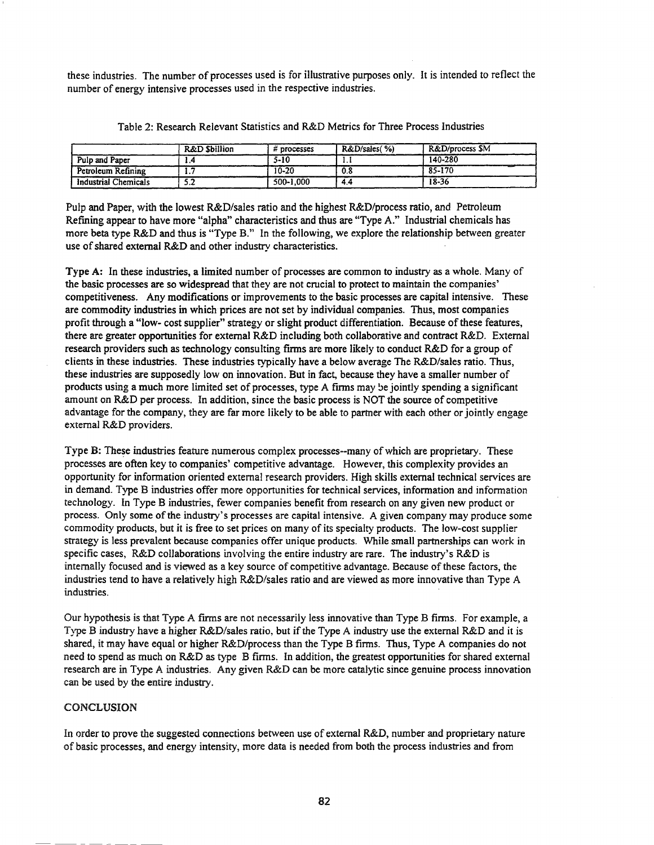these industries. The number of processes used is for illustrative purposes only. It is intended to reflect the number of energy intensive processes used in the respective industries.

|                             | <b>R&amp;D Sbillion</b> | processes | R&D/sales(%) | R&D/process SM |
|-----------------------------|-------------------------|-----------|--------------|----------------|
| Pulp and Paper              |                         | $5 - 10$  | .            | 140-280        |
| Petroleum Refining          | . .                     | 10-20     | 0.8          | 85-170         |
| <b>Industrial Chemicals</b> | .                       | 500-1,000 | 4.4          | 18-36          |

Table 2: Research Relevant Statistics and R&D Metrics for Three Process Industries

Pulp and Paper, with the lowest R&D/sales ratio and the highest R&D/process ratio, and Petroleum Refming appear to have more "alpha" characteristics and thus are "Type *A."* Industrial chemicals has more beta type R&D and thus is "Type B." In the following, we explore the relationship between greater use of shared external R&D and other industry characteristics.

Type A: In these industries, a limited number of processes are common to industry as a whole. Many of the basic processes are so widespread that they are not crucial to protect to maintain the companies' competitiveness. Any modifications or improvements to the basic processes are capital intensive. These are commodity industries in which prices are not set by individual companies. Thus, most companies profit through a "low- cost supplier" strategy or slight product differentiation. Because of these features, there are greater opportunities for external R&D including both collaborative and contract R&D. External research providers such as technology consulting finns are more likely to conduct R&D for a group of clients in these industries. These industries typically have a below average The R&D/sales ratio. Thus, these industries are supposedly low on innovation. But in fact, because they have a smaller number of products using a much more limited set of processes, type A firms may be jointly spending a significant amount on R&D per process. In addition, since the basic process is NOT the source of competitive advantage for the company, they are far more likely to be able to partner with each other or jointly engage external R&D providers.

Type B: These industries feature numerous complex processes--many of which are proprietary. These processes are often key to companies' competitive advantage. However, this complexity provides an opportunity for information oriented external research providers. High skills external technical services are in demand. Type B industries offer more opportunities for technical services, information and information technology. In Type B industries, fewer companies benefit from research on any given new product or process. Only some ofthe industry's processes are capital intensive. A given company may produce some commodity products, but it is free to set prices on many of its specialty products. The low-cost supplier strategy is less prevalent because companies offer unique products. While small partnerships can work in specific cases, R&D collaborations involving the entire industry are rare. The industry's R&D is internally focused and is viewed as a key source of competitive advantage. Because of these factors, the industries tend to have a relatively high R&D/sales ratio and are viewed as more innovative than Type A industries.

Our hypothesis is that Type A frrms are not necessarily less innovative than Type B firms. For example, a Type B industry have a higher R&D/sales ratio, but if the Type A industry use the external R&D and it is shared, it may have equal or higher R&D/process than the Type B firms. Thus, Type A companies do not need to spend as much on R&D as type B firms. In addition, the greatest opportunities for shared external research are in Type A industries. Any given R&D can be more catalytic since genuine process innovation can be used by the entire industry.

# CONCLUSION

In order to prove the suggested connections between use of external R&D, number and proprietary nature of basic processes, and energy intensity, more data is needed from both the process industries and from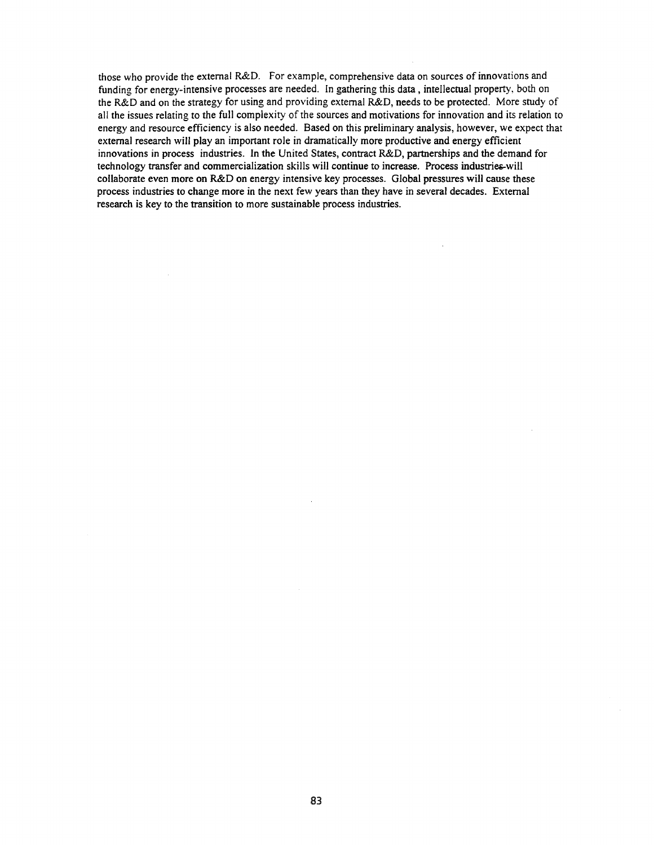those who provide the external R&D. For example, comprehensive data on sources of innovations and funding for energy-intensive processes are needed. In gathering this data, intellectual property, both on the R&D and on the strategy for using and providing external R&D, needs to be protected. More study of all the issues relating to the full complexity of the sources and motivations for innovation and its relation to energy and resource efficiency is also needed. Based on this preliminary analysis, however, we expect that external research will play an important role in dramatically more productive and energy efficient innovations in process industries. In the United States, contract R&D, partnerships and the demand for technology transfer and commercialization skills will continue to increase. Process industries-will collaborate even more on R&D on energy intensive key processes. Global pressures will cause these process industries to change more in the next few years than they have in several decades. External research is key to the transition to more sustainable process industries.